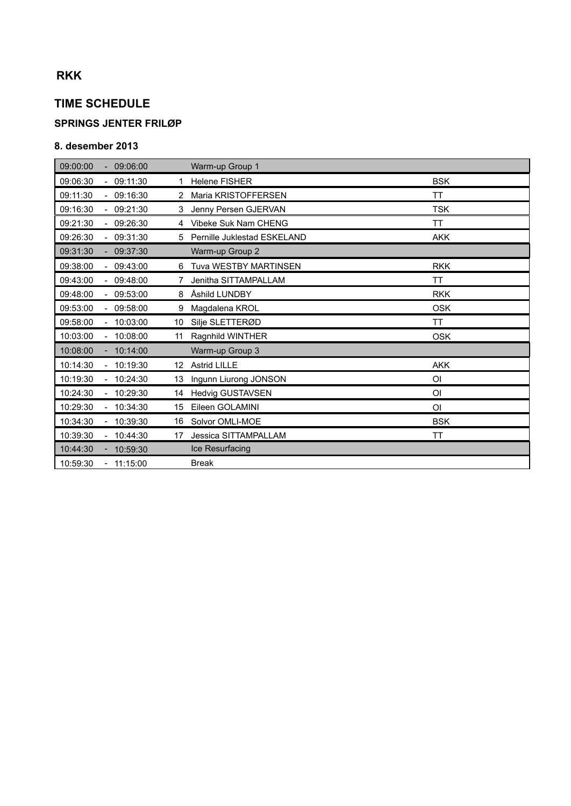# **RKK**

## **TIME SCHEDULE**

### **SPRINGS JENTER FRILØP**

#### **8. desember 2013**

| 09:00:00                             | 09:06:00                   | Warm-up Group 1              |                |
|--------------------------------------|----------------------------|------------------------------|----------------|
| 09:06:30                             | $-09:11:30$<br>1.          | <b>Helene FISHER</b>         | <b>BSK</b>     |
| 09:11:30                             | 09:16:30<br>$\overline{2}$ | Maria KRISTOFFERSEN          | <b>TT</b>      |
| 09:16:30                             | 09:21:30<br>3              | Jenny Persen GJERVAN         | <b>TSK</b>     |
| 09:21:30                             | $-09:26:30$<br>4           | Vibeke Suk Nam CHENG         | <b>TT</b>      |
| 09:26:30<br>$\sim$ .                 | 09:31:30<br>5              | Pernille Juklestad ESKELAND  | <b>AKK</b>     |
| 09:31:30<br>÷.                       | 09:37:30                   | Warm-up Group 2              |                |
| 09:38:00<br>$\sim$                   | 09:43:00<br>6              | <b>Tuva WESTBY MARTINSEN</b> | <b>RKK</b>     |
| 09:43:00                             | 09:48:00<br>7              | Jenitha SITTAMPALLAM         | <b>TT</b>      |
| 09:48:00<br>$\overline{\phantom{0}}$ | 09:53:00<br>8              | Åshild LUNDBY                | <b>RKK</b>     |
| 09:53:00                             | $-09:58:00$<br>9           | Magdalena KROL               | <b>OSK</b>     |
| 09:58:00<br>$\sim$                   | 10:03:00<br>10             | Silje SLETTERØD              | <b>TT</b>      |
| 10:03:00<br>$\overline{\phantom{0}}$ | 10:08:00<br>11             | Ragnhild WINTHER             | <b>OSK</b>     |
| 10:08:00                             | 10:14:00                   | Warm-up Group 3              |                |
| 10:14:30<br>$\overline{\phantom{0}}$ | 10:19:30                   | 12 Astrid LILLE              | <b>AKK</b>     |
| 10:19:30                             | $-10:24:30$<br>13          | Ingunn Liurong JONSON        | OI             |
| 10:24:30                             | 10:29:30<br>14             | Hedvig GUSTAVSEN             | O <sub>l</sub> |
| 10:29:30<br>÷.                       | 10:34:30<br>15             | Eileen GOLAMINI              | OI             |
| 10:34:30                             | 10:39:30<br>16             | Solvor OMLI-MOE              | <b>BSK</b>     |
| 10:39:30<br>÷.                       | 10:44:30<br>17             | <b>Jessica SITTAMPALLAM</b>  | ΤT             |
| 10:44:30<br>$\overline{\phantom{0}}$ | 10:59:30                   | Ice Resurfacing              |                |
| 10:59:30                             | 11:15:00                   | <b>Break</b>                 |                |